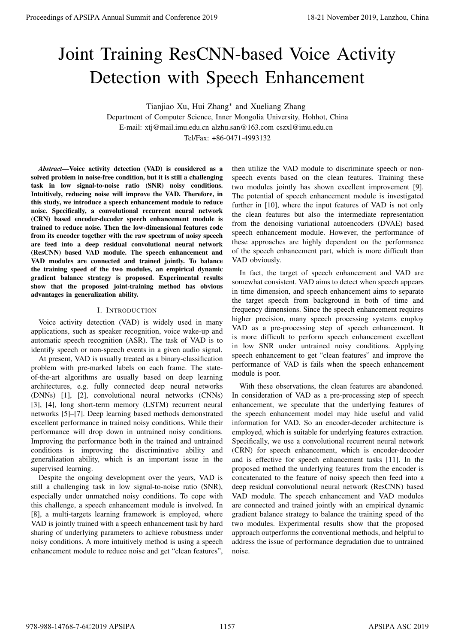# Joint Training ResCNN-based Voice Activity Detection with Speech Enhancement

Tianjiao Xu, Hui Zhang*<sup>∗</sup>* and Xueliang Zhang

Department of Computer Science, Inner Mongolia University, Hohhot, China E-mail: xtj@mail.imu.edu.cn alzhu.san@163.com cszxl@imu.edu.cn Tel/Fax: +86-0471-4993132

*Abstract*—Voice activity detection (VAD) is considered as a solved problem in noise-free condition, but it is still a challenging task in low signal-to-noise ratio (SNR) noisy conditions. Intuitively, reducing noise will improve the VAD. Therefore, in this study, we introduce a speech enhancement module to reduce noise. Specifically, a convolutional recurrent neural network (CRN) based encoder-decoder speech enhancement module is trained to reduce noise. Then the low-dimensional features code from its encoder together with the raw spectrum of noisy speech are feed into a deep residual convolutional neural network (ResCNN) based VAD module. The speech enhancement and VAD modules are connected and trained jointly. To balance the training speed of the two modules, an empirical dynamic gradient balance strategy is proposed. Experimental results show that the proposed joint-training method has obvious advantages in generalization ability.

#### I. INTRODUCTION

Voice activity detection (VAD) is widely used in many applications, such as speaker recognition, voice wake-up and automatic speech recognition (ASR). The task of VAD is to identify speech or non-speech events in a given audio signal.

At present, VAD is usually treated as a binary-classification problem with pre-marked labels on each frame. The stateof-the-art algorithms are usually based on deep learning architectures, e.g. fully connected deep neural networks (DNNs) [1], [2], convolutional neural networks (CNNs) [3], [4], long short-term memory (LSTM) recurrent neural networks [5]–[7]. Deep learning based methods demonstrated excellent performance in trained noisy conditions. While their performance will drop down in untrained noisy conditions. Improving the performance both in the trained and untrained conditions is improving the discriminative ability and generalization ability, which is an important issue in the supervised learning.

Despite the ongoing development over the years, VAD is still a challenging task in low signal-to-noise ratio (SNR), especially under unmatched noisy conditions. To cope with this challenge, a speech enhancement module is involved. In [8], a multi-targets learning framework is employed, where VAD is jointly trained with a speech enhancement task by hard sharing of underlying parameters to achieve robustness under noisy conditions. A more intuitively method is using a speech enhancement module to reduce noise and get "clean features",

then utilize the VAD module to discriminate speech or nonspeech events based on the clean features. Training these two modules jointly has shown excellent improvement [9]. The potential of speech enhancement module is investigated further in [10], where the input features of VAD is not only the clean features but also the intermediate representation from the denoising variational autoencoders (DVAE) based speech enhancement module. However, the performance of these approaches are highly dependent on the performance of the speech enhancement part, which is more difficult than VAD obviously.

In fact, the target of speech enhancement and VAD are somewhat consistent. VAD aims to detect when speech appears in time dimension, and speech enhancement aims to separate the target speech from background in both of time and frequency dimensions. Since the speech enhancement requires higher precision, many speech processing systems employ VAD as a pre-processing step of speech enhancement. It is more difficult to perform speech enhancement excellent in low SNR under untrained noisy conditions. Applying speech enhancement to get "clean features" and improve the performance of VAD is fails when the speech enhancement module is poor.

With these observations, the clean features are abandoned. In consideration of VAD as a pre-processing step of speech enhancement, we speculate that the underlying features of the speech enhancement model may hide useful and valid information for VAD. So an encoder-decoder architecture is employed, which is suitable for underlying features extraction. Specifically, we use a convolutional recurrent neural network (CRN) for speech enhancement, which is encoder-decoder and is effective for speech enhancement tasks [11]. In the proposed method the underlying features from the encoder is concatenated to the feature of noisy speech then feed into a deep residual convolutional neural network (ResCNN) based VAD module. The speech enhancement and VAD modules are connected and trained jointly with an empirical dynamic gradient balance strategy to balance the training speed of the two modules. Experimental results show that the proposed approach outperforms the conventional methods, and helpful to address the issue of performance degradation due to untrained noise. **Proceedings of APSIPA Annual Summit and Conference 2019**<br> **Joint Trainings Resc. Now Annual Summit and Conference 2019**<br> **Summit and Conference 2019**<br> **Summit and Conference 2019**<br> **Summit and Conference 2019**<br> **Summit a**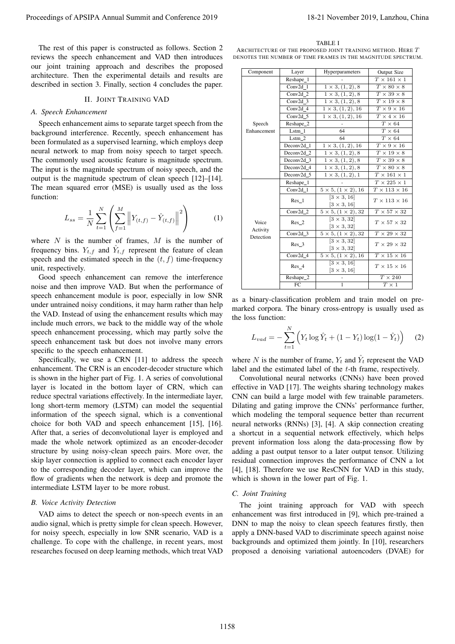### II. JOINT TRAINING VAD

#### *A. Speech Enhancement*

$$
L_{ss} = \frac{1}{N} \sum_{t=1}^{N} \left( \sum_{f=1}^{M} \left\| Y_{(t,f)} - \hat{Y}_{(t,f)} \right\|^2 \right) \tag{1}
$$

#### *B. Voice Activity Detection*

TABLE I

| The rest of this paper is constructed as follows. Section 2<br>reviews the speech enhancement and VAD then introduces                                                                                                                                                                                                                                                                                                                                                                                                                                                                                                                                                                                                                                                                                                                                                                                                                                                                                                                                                                                                 |                                                                                                                                                                                                                                                                                                                                                                                                                                                                                                                                                                                                                                                                                                                                                                                                                                                                                                                                                                                                                                    |                       | TABLE I                                                                                                                                                                                |                                                                         |  |
|-----------------------------------------------------------------------------------------------------------------------------------------------------------------------------------------------------------------------------------------------------------------------------------------------------------------------------------------------------------------------------------------------------------------------------------------------------------------------------------------------------------------------------------------------------------------------------------------------------------------------------------------------------------------------------------------------------------------------------------------------------------------------------------------------------------------------------------------------------------------------------------------------------------------------------------------------------------------------------------------------------------------------------------------------------------------------------------------------------------------------|------------------------------------------------------------------------------------------------------------------------------------------------------------------------------------------------------------------------------------------------------------------------------------------------------------------------------------------------------------------------------------------------------------------------------------------------------------------------------------------------------------------------------------------------------------------------------------------------------------------------------------------------------------------------------------------------------------------------------------------------------------------------------------------------------------------------------------------------------------------------------------------------------------------------------------------------------------------------------------------------------------------------------------|-----------------------|----------------------------------------------------------------------------------------------------------------------------------------------------------------------------------------|-------------------------------------------------------------------------|--|
| our joint training approach and describes the proposed                                                                                                                                                                                                                                                                                                                                                                                                                                                                                                                                                                                                                                                                                                                                                                                                                                                                                                                                                                                                                                                                | ARCHITECTURE OF THE PROPOSED JOINT TRAINING METHOD. HERE $T$<br>DENOTES THE NUMBER OF TIME FRAMES IN THE MAGNITUDE SPECTRUM.                                                                                                                                                                                                                                                                                                                                                                                                                                                                                                                                                                                                                                                                                                                                                                                                                                                                                                       |                       |                                                                                                                                                                                        |                                                                         |  |
|                                                                                                                                                                                                                                                                                                                                                                                                                                                                                                                                                                                                                                                                                                                                                                                                                                                                                                                                                                                                                                                                                                                       | Component                                                                                                                                                                                                                                                                                                                                                                                                                                                                                                                                                                                                                                                                                                                                                                                                                                                                                                                                                                                                                          | Layer                 | Hyperparameters                                                                                                                                                                        | Output Size                                                             |  |
| architecture. Then the experimental details and results are                                                                                                                                                                                                                                                                                                                                                                                                                                                                                                                                                                                                                                                                                                                                                                                                                                                                                                                                                                                                                                                           |                                                                                                                                                                                                                                                                                                                                                                                                                                                                                                                                                                                                                                                                                                                                                                                                                                                                                                                                                                                                                                    | Reshape_1             |                                                                                                                                                                                        | $T\times 161\times 1$                                                   |  |
| described in section 3. Finally, section 4 concludes the paper.                                                                                                                                                                                                                                                                                                                                                                                                                                                                                                                                                                                                                                                                                                                                                                                                                                                                                                                                                                                                                                                       |                                                                                                                                                                                                                                                                                                                                                                                                                                                                                                                                                                                                                                                                                                                                                                                                                                                                                                                                                                                                                                    | Conv2d_1              | $1 \times 3, (1, 2), 8$                                                                                                                                                                | $T \times 80 \times 8$                                                  |  |
| <b>II. JOINT TRAINING VAD</b>                                                                                                                                                                                                                                                                                                                                                                                                                                                                                                                                                                                                                                                                                                                                                                                                                                                                                                                                                                                                                                                                                         |                                                                                                                                                                                                                                                                                                                                                                                                                                                                                                                                                                                                                                                                                                                                                                                                                                                                                                                                                                                                                                    | Conv2d_2              | $1 \times 3, (1, 2),$ 8                                                                                                                                                                | $T \times 39 \times 8$                                                  |  |
|                                                                                                                                                                                                                                                                                                                                                                                                                                                                                                                                                                                                                                                                                                                                                                                                                                                                                                                                                                                                                                                                                                                       |                                                                                                                                                                                                                                                                                                                                                                                                                                                                                                                                                                                                                                                                                                                                                                                                                                                                                                                                                                                                                                    | $Conv2d_3$            | $1 \times 3, (1, 2), 8$                                                                                                                                                                | $T \times 19 \times 8$                                                  |  |
| A. Speech Enhancement                                                                                                                                                                                                                                                                                                                                                                                                                                                                                                                                                                                                                                                                                                                                                                                                                                                                                                                                                                                                                                                                                                 |                                                                                                                                                                                                                                                                                                                                                                                                                                                                                                                                                                                                                                                                                                                                                                                                                                                                                                                                                                                                                                    | $Conv2d_4$            | $1 \times 3, (1, 2), 16$                                                                                                                                                               | $T \times 9 \times 16$                                                  |  |
|                                                                                                                                                                                                                                                                                                                                                                                                                                                                                                                                                                                                                                                                                                                                                                                                                                                                                                                                                                                                                                                                                                                       |                                                                                                                                                                                                                                                                                                                                                                                                                                                                                                                                                                                                                                                                                                                                                                                                                                                                                                                                                                                                                                    | Conv2d_5              | $1 \times 3, (1, 2), 16$                                                                                                                                                               | $T \times 4 \times 16$                                                  |  |
| Speech enhancement aims to separate target speech from the                                                                                                                                                                                                                                                                                                                                                                                                                                                                                                                                                                                                                                                                                                                                                                                                                                                                                                                                                                                                                                                            | Speech<br>Enhancement                                                                                                                                                                                                                                                                                                                                                                                                                                                                                                                                                                                                                                                                                                                                                                                                                                                                                                                                                                                                              | Reshape_2<br>$Lstm_1$ | 64                                                                                                                                                                                     | $T$ $\times$ $64$<br>$T \times 64$                                      |  |
| background interference. Recently, speech enhancement has                                                                                                                                                                                                                                                                                                                                                                                                                                                                                                                                                                                                                                                                                                                                                                                                                                                                                                                                                                                                                                                             |                                                                                                                                                                                                                                                                                                                                                                                                                                                                                                                                                                                                                                                                                                                                                                                                                                                                                                                                                                                                                                    | $Lstm_2$              | 64                                                                                                                                                                                     | $T$ $\times$ $64$                                                       |  |
| been formulated as a supervised learning, which employs deep                                                                                                                                                                                                                                                                                                                                                                                                                                                                                                                                                                                                                                                                                                                                                                                                                                                                                                                                                                                                                                                          |                                                                                                                                                                                                                                                                                                                                                                                                                                                                                                                                                                                                                                                                                                                                                                                                                                                                                                                                                                                                                                    | Deconv2d_1            | $1 \times 3, (1, 2), 16$                                                                                                                                                               | $T$ $\times$ 9 $\times$ 16                                              |  |
| neural network to map from noisy speech to target speech.                                                                                                                                                                                                                                                                                                                                                                                                                                                                                                                                                                                                                                                                                                                                                                                                                                                                                                                                                                                                                                                             |                                                                                                                                                                                                                                                                                                                                                                                                                                                                                                                                                                                                                                                                                                                                                                                                                                                                                                                                                                                                                                    | Deconv2d_2            | $1 \times 3, (1, 2), 8$                                                                                                                                                                | $T \times 19 \times 8$                                                  |  |
| The commonly used acoustic feature is magnitude spectrum.                                                                                                                                                                                                                                                                                                                                                                                                                                                                                                                                                                                                                                                                                                                                                                                                                                                                                                                                                                                                                                                             |                                                                                                                                                                                                                                                                                                                                                                                                                                                                                                                                                                                                                                                                                                                                                                                                                                                                                                                                                                                                                                    | Deconv2d_3            | $1 \times 3, (1, 2), 8$                                                                                                                                                                | $T \times 39 \times 8$                                                  |  |
| The input is the magnitude spectrum of noisy speech, and the                                                                                                                                                                                                                                                                                                                                                                                                                                                                                                                                                                                                                                                                                                                                                                                                                                                                                                                                                                                                                                                          |                                                                                                                                                                                                                                                                                                                                                                                                                                                                                                                                                                                                                                                                                                                                                                                                                                                                                                                                                                                                                                    | Deconv2d_4            | $1 \times 3, (1, 2), 8$                                                                                                                                                                | $T \times 80 \times 8$                                                  |  |
|                                                                                                                                                                                                                                                                                                                                                                                                                                                                                                                                                                                                                                                                                                                                                                                                                                                                                                                                                                                                                                                                                                                       |                                                                                                                                                                                                                                                                                                                                                                                                                                                                                                                                                                                                                                                                                                                                                                                                                                                                                                                                                                                                                                    | $Deconv2d_5$          | $1 \times 3, (1, 2), 1$                                                                                                                                                                | $T$ $\times$ 161 $\times$ 1                                             |  |
| output is the magnitude spectrum of clean speech [12]–[14].                                                                                                                                                                                                                                                                                                                                                                                                                                                                                                                                                                                                                                                                                                                                                                                                                                                                                                                                                                                                                                                           |                                                                                                                                                                                                                                                                                                                                                                                                                                                                                                                                                                                                                                                                                                                                                                                                                                                                                                                                                                                                                                    | Reshape_1             |                                                                                                                                                                                        | $T$ $\times$ 225 $\times$ 1                                             |  |
| The mean squared error (MSE) is usually used as the loss                                                                                                                                                                                                                                                                                                                                                                                                                                                                                                                                                                                                                                                                                                                                                                                                                                                                                                                                                                                                                                                              |                                                                                                                                                                                                                                                                                                                                                                                                                                                                                                                                                                                                                                                                                                                                                                                                                                                                                                                                                                                                                                    | $Conv2d_1$            | $5 \times 5, (1 \times 2), 16$                                                                                                                                                         | $T \times 113 \times 16$                                                |  |
| function:                                                                                                                                                                                                                                                                                                                                                                                                                                                                                                                                                                                                                                                                                                                                                                                                                                                                                                                                                                                                                                                                                                             |                                                                                                                                                                                                                                                                                                                                                                                                                                                                                                                                                                                                                                                                                                                                                                                                                                                                                                                                                                                                                                    | $Res_1$               | $[3 \times 3, 16]$                                                                                                                                                                     | $T$ $\times$ 113 $\times$ 16                                            |  |
|                                                                                                                                                                                                                                                                                                                                                                                                                                                                                                                                                                                                                                                                                                                                                                                                                                                                                                                                                                                                                                                                                                                       |                                                                                                                                                                                                                                                                                                                                                                                                                                                                                                                                                                                                                                                                                                                                                                                                                                                                                                                                                                                                                                    |                       | $[3 \times 3, 16]$                                                                                                                                                                     |                                                                         |  |
| $L_{ss} = \frac{1}{N} \sum_{t=1}^{N} \left( \sum_{f=1}^{M} \left\  Y_{(t,f)} - \hat{Y}_{(t,f)} \right\ ^2 \right)$                                                                                                                                                                                                                                                                                                                                                                                                                                                                                                                                                                                                                                                                                                                                                                                                                                                                                                                                                                                                    |                                                                                                                                                                                                                                                                                                                                                                                                                                                                                                                                                                                                                                                                                                                                                                                                                                                                                                                                                                                                                                    | Conv2d_2              | $5 \times 5, (1 \times 2), 32$                                                                                                                                                         | $T$ $\times$ 57 $\times$ 32                                             |  |
| (1)                                                                                                                                                                                                                                                                                                                                                                                                                                                                                                                                                                                                                                                                                                                                                                                                                                                                                                                                                                                                                                                                                                                   | Voice                                                                                                                                                                                                                                                                                                                                                                                                                                                                                                                                                                                                                                                                                                                                                                                                                                                                                                                                                                                                                              | $Res_2$               | $[3 \times 3, 32]$                                                                                                                                                                     | $T$ $\times$ 57 $\times$ 32                                             |  |
|                                                                                                                                                                                                                                                                                                                                                                                                                                                                                                                                                                                                                                                                                                                                                                                                                                                                                                                                                                                                                                                                                                                       | Activity                                                                                                                                                                                                                                                                                                                                                                                                                                                                                                                                                                                                                                                                                                                                                                                                                                                                                                                                                                                                                           |                       | $[3 \times 3, 32]$                                                                                                                                                                     |                                                                         |  |
|                                                                                                                                                                                                                                                                                                                                                                                                                                                                                                                                                                                                                                                                                                                                                                                                                                                                                                                                                                                                                                                                                                                       | Detection                                                                                                                                                                                                                                                                                                                                                                                                                                                                                                                                                                                                                                                                                                                                                                                                                                                                                                                                                                                                                          | $Conv2d_3$            | $5 \times 5, (1 \times 2), 32$                                                                                                                                                         | $T \times 29 \times 32$                                                 |  |
| where $N$ is the number of frames, $M$ is the number of                                                                                                                                                                                                                                                                                                                                                                                                                                                                                                                                                                                                                                                                                                                                                                                                                                                                                                                                                                                                                                                               |                                                                                                                                                                                                                                                                                                                                                                                                                                                                                                                                                                                                                                                                                                                                                                                                                                                                                                                                                                                                                                    | $Res_3$               | $[3 \times 3, 32]$                                                                                                                                                                     | $T$ $\times$ 29 $\times$ 32                                             |  |
| frequency bins. $Y_{t,f}$ and $\hat{Y}_{t,f}$ represent the feature of clean                                                                                                                                                                                                                                                                                                                                                                                                                                                                                                                                                                                                                                                                                                                                                                                                                                                                                                                                                                                                                                          |                                                                                                                                                                                                                                                                                                                                                                                                                                                                                                                                                                                                                                                                                                                                                                                                                                                                                                                                                                                                                                    | Conv2d_4              | $[3 \times 3, 32]$<br>$5 \times 5, (1 \times 2), 16$                                                                                                                                   | $T \times 15 \times 16$                                                 |  |
| speech and the estimated speech in the $(t, f)$ time-frequency                                                                                                                                                                                                                                                                                                                                                                                                                                                                                                                                                                                                                                                                                                                                                                                                                                                                                                                                                                                                                                                        |                                                                                                                                                                                                                                                                                                                                                                                                                                                                                                                                                                                                                                                                                                                                                                                                                                                                                                                                                                                                                                    |                       | $[3 \times 3, 16]$                                                                                                                                                                     |                                                                         |  |
| unit, respectively.                                                                                                                                                                                                                                                                                                                                                                                                                                                                                                                                                                                                                                                                                                                                                                                                                                                                                                                                                                                                                                                                                                   |                                                                                                                                                                                                                                                                                                                                                                                                                                                                                                                                                                                                                                                                                                                                                                                                                                                                                                                                                                                                                                    | $Res_4$               | $[3 \times 3, 16]$                                                                                                                                                                     | $T$ $\times$ 15 $\times$ 16                                             |  |
| Good speech enhancement can remove the interference                                                                                                                                                                                                                                                                                                                                                                                                                                                                                                                                                                                                                                                                                                                                                                                                                                                                                                                                                                                                                                                                   |                                                                                                                                                                                                                                                                                                                                                                                                                                                                                                                                                                                                                                                                                                                                                                                                                                                                                                                                                                                                                                    | Reshape_2             |                                                                                                                                                                                        | $T \times 240$                                                          |  |
| noise and then improve VAD. But when the performance of                                                                                                                                                                                                                                                                                                                                                                                                                                                                                                                                                                                                                                                                                                                                                                                                                                                                                                                                                                                                                                                               |                                                                                                                                                                                                                                                                                                                                                                                                                                                                                                                                                                                                                                                                                                                                                                                                                                                                                                                                                                                                                                    | FC                    | 1                                                                                                                                                                                      | $T\times 1$                                                             |  |
| enhancement. The CRN is an encoder-decoder structure which<br>is shown in the higher part of Fig. 1. A series of convolutional                                                                                                                                                                                                                                                                                                                                                                                                                                                                                                                                                                                                                                                                                                                                                                                                                                                                                                                                                                                        | label and the estimated label of the $t$ -th frame, respectively.<br>Convolutional neural networks (CNNs) have been proved<br>effective in VAD [17]. The weights sharing technology makes<br>CNN can build a large model with few trainable parameters.<br>Dilating and gating improve the CNNs' performance further,<br>which modeling the temporal sequence better than recurrent<br>neural networks (RNNs) [3], [4]. A skip connection creating<br>a shortcut in a sequential network effectively, which helps<br>prevent information loss along the data-processing flow by<br>adding a past output tensor to a later output tensor. Utilizing<br>residual connection improves the performance of CNN a lot<br>[4], [18]. Therefore we use ResCNN for VAD in this study,<br>which is shown in the lower part of Fig. 1.<br>C. Joint Training<br>The joint training approach for VAD with speech<br>enhancement was first introduced in [9], which pre-trained a<br>DNN to map the noisy to clean speech features firstly, then |                       |                                                                                                                                                                                        |                                                                         |  |
|                                                                                                                                                                                                                                                                                                                                                                                                                                                                                                                                                                                                                                                                                                                                                                                                                                                                                                                                                                                                                                                                                                                       |                                                                                                                                                                                                                                                                                                                                                                                                                                                                                                                                                                                                                                                                                                                                                                                                                                                                                                                                                                                                                                    |                       |                                                                                                                                                                                        | where N is the number of frame, $Y_t$ and $\hat{Y}_t$ represent the VAD |  |
| layer is located in the bottom layer of CRN, which can<br>reduce spectral variations effectively. In the intermediate layer,<br>long short-term memory (LSTM) can model the sequential<br>information of the speech signal, which is a conventional<br>choice for both VAD and speech enhancement [15], [16].<br>After that, a series of deconvolutional layer is employed and<br>made the whole network optimized as an encoder-decoder<br>structure by using noisy-clean speech pairs. More over, the<br>skip layer connection is applied to connect each encoder layer<br>to the corresponding decoder layer, which can improve the<br>flow of gradients when the network is deep and promote the<br>intermediate LSTM layer to be more robust.<br><b>B.</b> Voice Activity Detection<br>VAD aims to detect the speech or non-speech events in an<br>audio signal, which is pretty simple for clean speech. However,<br>for noisy speech, especially in low SNR scenario, VAD is a<br>challenge. To cope with the challenge, in recent years, most<br>researches focused on deep learning methods, which treat VAD |                                                                                                                                                                                                                                                                                                                                                                                                                                                                                                                                                                                                                                                                                                                                                                                                                                                                                                                                                                                                                                    |                       | apply a DNN-based VAD to discriminate speech against noise<br>backgrounds and optimized them jointly. In [10], researchers<br>proposed a denoising variational autoencoders (DVAE) for |                                                                         |  |

$$
L_{vad} = -\sum_{t=1}^{N} \left( Y_t \log \hat{Y}_t + (1 - Y_t) \log(1 - \hat{Y}_t) \right)
$$
 (2)

# *C. Joint Training*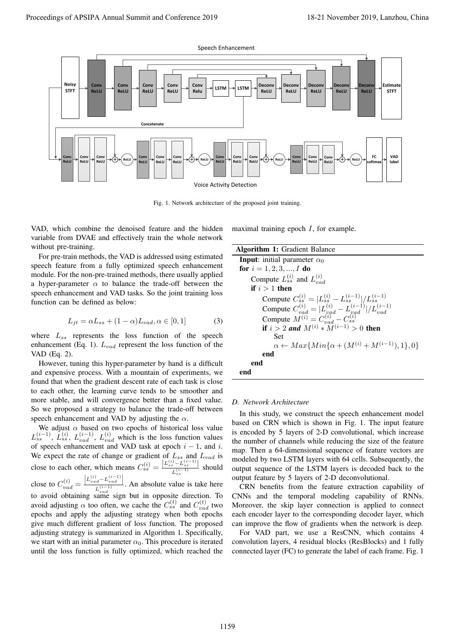

Fig. 1. Network architecture of the proposed joint training.

VAD, which combine the denoised feature and the hidden variable from DVAE and effectively train the whole network without pre-training.

For pre-train methods, the VAD is addressed using estimated speech feature from a fully optimized speech enhancement module. For the non-pre-trained methods, there usually applied a hyper-parameter  $\alpha$  to balance the trade-off between the speech enhancement and VAD tasks. So the joint training loss function can be defined as below:

$$
L_{jt} = \alpha L_{ss} + (1 - \alpha) L_{vad}, \alpha \in [0, 1]
$$
 (3)

where *Lss* represents the loss function of the speech enhancement (Eq. 1). *Lvad* represent the loss function of the VAD (Eq. 2).

However, tuning this hyper-parameter by hand is a difficult and expensive process. With a mountain of experiments, we found that when the gradient descent rate of each task is close to each other, the learning curve tends to be smoother and more stable, and will convergence better than a fixed value. So we proposed a strategy to balance the trade-off between speech enhancement and VAD by adjusting the *α*.

We adjust  $\alpha$  based on two epochs of historical loss value  $L_{ss}^{(i-1)}$ ,  $\dot{L}_{ss}^{(i)}$ ,  $L_{vad}^{(i-1)}$ ,  $L_{vad}^{(i)}$  which is the loss function values of speech enhancement and VAD task at epoch  $i - 1$ , and  $i$ . We expect the rate of change or gradient of *Lss* and *Lvad* is close to each other, which means  $C_{ss}^{(i)} = \frac{|L_{ss}^{(i)} - L_{ss}^{(i-1)}|}{L_{s}^{(i-1)}}$  $\frac{L_{ss}}{L_{ss}^{(i-1)}}$  should *ss* close to  $C_{vad}^{(i)}$  =  $L_{vad}^{(i)} - L_{vad}^{(i-1)}$  $\frac{L_{rad}^{(i-1)} - \nu_{rad}}{L_{rad}^{(i-1)}}$ . An absolute value is take here to avoid obtaining same sign but in opposite direction. To avoid adjusting  $\alpha$  too often, we cache the  $C_{ss}^{(t)}$  and  $C_{vad}^{(t)}$  two epochs and apply the adjusting strategy when both epochs give much different gradient of loss function. The proposed adjusting strategy is summarized in Algorithm 1. Specifically, we start with an initial parameter  $\alpha_0$ . This procedure is iterated until the loss function is fully optimized, which reached the maximal training epoch *I*, for example.

Algorithm 1: Gradient Balance **Input:** initial parameter  $\alpha_0$ for  $i = 1, 2, 3, ..., I$  do Compute  $L_{ss}^{(i)}$  and  $L_{va}^{(i)}$ *vad* if  $i > 1$  then  $\text{Compute } C_{ss}^{(i)} = |L_{ss}^{(i)} - L_{ss}^{(i-1)}| / L_{ss}^{(i-1)}$ Compute  $C_{vad}^{(i)} = |L_{vad}^{(i)} - L_{vad}^{(i-1)}|/L_{vad}^{(i-1)}$ <br>Compute  $M^{(i)} = C_{vad}^{(i)} - C_{ss}^{(i)}$ <br>if  $i > 2$  and  $M^{(i)} * M^{(i-1)} > 0$  then Set  $\alpha \leftarrow Max\{Min\{\alpha + (M^{(i)} + M^{(i-1)}), 1\}, 0\}$ end end end

#### *D. Network Architecture*

In this study, we construct the speech enhancement model based on CRN which is shown in Fig. 1. The input feature is encoded by 5 layers of 2-D convolutional, which increase the number of channels while reducing the size of the feature map. Then a 64-dimensional sequence of feature vectors are modeled by two LSTM layers with 64 cells. Subsequently, the output sequence of the LSTM layers is decoded back to the output feature by 5 layers of 2-D deconvolutional.

CRN benefits from the feature extraction capability of CNNs and the temporal modeling capability of RNNs. Moreover, the skip layer connection is applied to connect each encoder layer to the corresponding decoder layer, which can improve the flow of gradients when the network is deep.

For VAD part, we use a ResCNN, which contains 4 convolution layers, 4 residual blocks (ResBlocks) and 1 fully connected layer (FC) to generate the label of each frame. Fig. 1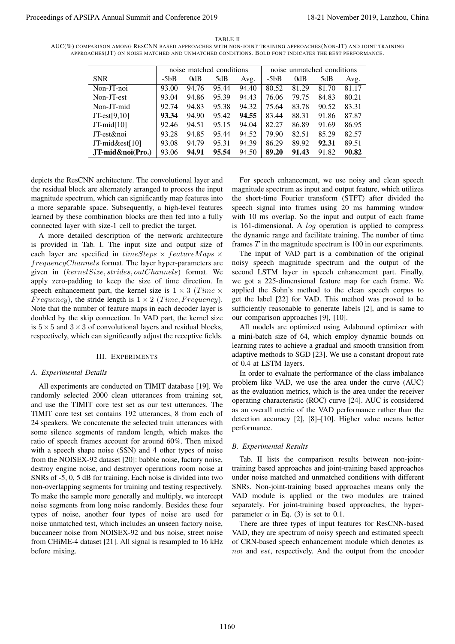TABLE II

AUC(%) COMPARISON AMONG RESCNN BASED APPROACHES WITH NON-JOINT TRAINING APPROACHES(NON-JT) AND JOINT TRAINING APPROACHES(JT) ON NOISE MATCHED AND UNMATCHED CONDITIONS. BOLD FONT INDICATES THE BEST PERFORMANCE.

|                     | noise matched conditions |       |       | noise unmatched conditions |        |       |       |       |
|---------------------|--------------------------|-------|-------|----------------------------|--------|-------|-------|-------|
| <b>SNR</b>          | $-5bB$                   | 0dB   | 5dB   | Avg.                       | $-5bB$ | 0dB   | 5dB   | Avg.  |
| Non-JT-noi          | 93.00                    | 94.76 | 95.44 | 94.40                      | 80.52  | 81.29 | 81.70 | 81.17 |
| Non-JT-est          | 93.04                    | 94.86 | 95.39 | 94.43                      | 76.06  | 79.75 | 84.83 | 80.21 |
| Non-JT-mid          | 92.74                    | 94.83 | 95.38 | 94.32                      | 75.64  | 83.78 | 90.52 | 83.31 |
| $JT-est[9,10]$      | 93.34                    | 94.90 | 95.42 | 94.55                      | 83.44  | 88.31 | 91.86 | 87.87 |
| $JT$ -mid $[10]$    | 92.46                    | 94.51 | 95.15 | 94.04                      | 82.27  | 86.89 | 91.69 | 86.95 |
| JT-est&noi          | 93.28                    | 94.85 | 95.44 | 94.52                      | 79.90  | 82.51 | 85.29 | 82.57 |
| JT-mid $\&$ est[10] | 93.08                    | 94.79 | 95.31 | 94.39                      | 86.29  | 89.92 | 92.31 | 89.51 |
| JT-mid&noi(Pro.)    | 93.06                    | 94.91 | 95.54 | 94.50                      | 89.20  | 91.43 | 91.82 | 90.82 |

depicts the ResCNN architecture. The convolutional layer and the residual block are alternately arranged to process the input magnitude spectrum, which can significantly map features into a more separable space. Subsequently, a high-level features learned by these combination blocks are then fed into a fully connected layer with size-1 cell to predict the target.

A more detailed description of the network architecture is provided in Tab. I. The input size and output size of each layer are specified in *timeSteps × featureM aps × frequencyChannels* format. The layer hyper-parameters are given in (*kernelSize, strides, outChannels*) format. We apply zero-padding to keep the size of time direction. In speech enhancement part, the kernel size is  $1 \times 3$  (*Time*  $\times$ *Frequency*), the stride length is  $1 \times 2$  *(Time, Frequency).* Note that the number of feature maps in each decoder layer is doubled by the skip connection. In VAD part, the kernel size is  $5 \times 5$  and  $3 \times 3$  of convolutional layers and residual blocks, respectively, which can significantly adjust the receptive fields.

#### III. EXPERIMENTS

# *A. Experimental Details*

All experiments are conducted on TIMIT database [19]. We randomly selected 2000 clean utterances from training set, and use the TIMIT core test set as our test utterances. The TIMIT core test set contains 192 utterances, 8 from each of 24 speakers. We concatenate the selected train utterances with some silence segments of random length, which makes the ratio of speech frames account for around 60%. Then mixed with a speech shape noise (SSN) and 4 other types of noise from the NOISEX-92 dataset [20]: babble noise, factory noise, destroy engine noise, and destroyer operations room noise at SNRs of -5, 0, 5 dB for training. Each noise is divided into two non-overlapping segments for training and testing respectively. To make the sample more generally and multiply, we intercept noise segments from long noise randomly. Besides these four types of noise, another four types of noise are used for noise unmatched test, which includes an unseen factory noise, buccaneer noise from NOISEX-92 and bus noise, street noise from CHiME-4 dataset [21]. All signal is resampled to 16 kHz before mixing. Proceedings of APSIPA Annual Summit and Conference 2019 18-21 November 2019, Lanzhou, China 1160

For speech enhancement, we use noisy and clean speech magnitude spectrum as input and output feature, which utilizes the short-time Fourier transform (STFT) after divided the speech signal into frames using 20 ms hamming window with 10 ms overlap. So the input and output of each frame is 161-dimensional. A *log* operation is applied to compress the dynamic range and facilitate training. The number of time frames *T* in the magnitude spectrum is 100 in our experiments.

The input of VAD part is a combination of the original noisy speech magnitude spectrum and the output of the second LSTM layer in speech enhancement part. Finally, we got a 225-dimensional feature map for each frame. We applied the Sohn's method to the clean speech corpus to get the label [22] for VAD. This method was proved to be sufficiently reasonable to generate labels [2], and is same to our comparison approaches [9], [10].

All models are optimized using Adabound optimizer with a mini-batch size of 64, which employ dynamic bounds on learning rates to achieve a gradual and smooth transition from adaptive methods to SGD [23]. We use a constant dropout rate of 0.4 at LSTM layers.

In order to evaluate the performance of the class imbalance problem like VAD, we use the area under the curve (AUC) as the evaluation metrics, which is the area under the receiver operating characteristic (ROC) curve [24]. AUC is considered as an overall metric of the VAD performance rather than the detection accuracy [2], [8]–[10]. Higher value means better performance.

# *B. Experimental Results*

Tab. II lists the comparison results between non-jointtraining based approaches and joint-training based approaches under noise matched and unmatched conditions with different SNRs. Non-joint-training based approaches means only the VAD module is applied or the two modules are trained separately. For joint-training based approaches, the hyperparameter  $\alpha$  in Eq. (3) is set to 0.1.

There are three types of input features for ResCNN-based VAD, they are spectrum of noisy speech and estimated speech of CRN-based speech enhancement module which denotes as *noi* and *est*, respectively. And the output from the encoder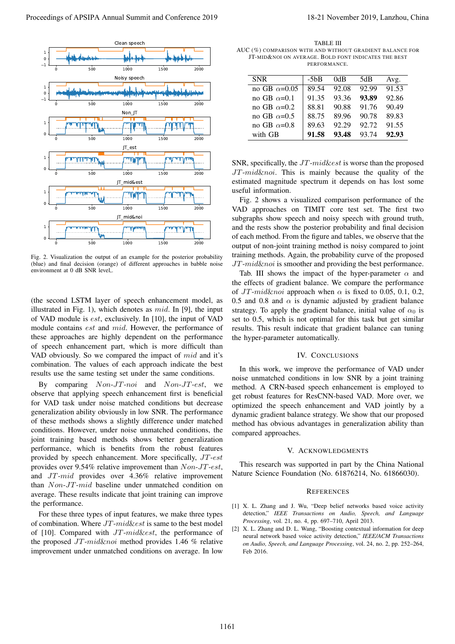

Fig. 2. Visualization the output of an example for the posterior probability (blue) and final decision (orange) of different approaches in babble noise environment at 0 dB SNR level.

(the second LSTM layer of speech enhancement model, as illustrated in Fig. 1), which denotes as *mid*. In [9], the input of VAD module is *est*, exclusively. In [10], the input of VAD module contains *est* and *mid*. However, the performance of these approaches are highly dependent on the performance of speech enhancement part, which is more difficult than VAD obviously. So we compared the impact of *mid* and it's combination. The values of each approach indicate the best results use the same testing set under the same conditions.

By comparing *Non*-*JT*-*noi* and *Non*-*JT*-*est*, we observe that applying speech enhancement first is beneficial for VAD task under noise matched conditions but decrease generalization ability obviously in low SNR. The performance of these methods shows a slightly difference under matched conditions. However, under noise unmatched conditions, the joint training based methods shows better generalization performance, which is benefits from the robust features provided by speech enhancement. More specifically, *JT*-*est* provides over 9.54% relative improvement than *Non*-*JT*-*est*, and *JT*-*mid* provides over 4.36% relative improvement than *Non*-*JT*-*mid* baseline under unmatched condition on average. These results indicate that joint training can improve the performance.

For these three types of input features, we make three types of combination. Where *JT*-*mid*&*est* is same to the best model of [10]. Compared with *JT*-*mid*&*est*, the performance of the proposed *JT*-*mid*&*noi* method provides 1.46 % relative improvement under unmatched conditions on average. In low

TABLE III AUC (%) COMPARISON WITH AND WITHOUT GRADIENT BALANCE FOR JT-MID&NOI ON AVERAGE. BOLD FONT INDICATES THE BEST **PERFORMANCE** 

| <b>SNR</b>           | $-5bB$ | 0dB   | 5dB   | Avg.  |
|----------------------|--------|-------|-------|-------|
| no GB $\alpha$ =0.05 | 89.54  | 92.08 | 92.99 | 91.53 |
| no GB $\alpha$ =0.1  | 91.35  | 93.36 | 93.89 | 92.86 |
| no GB $\alpha$ =0.2  | 88.81  | 90.88 | 91.76 | 90.49 |
| no GB $\alpha$ =0.5  | 88.75  | 89.96 | 90.78 | 89.83 |
| no GB $\alpha$ =0.8  | 89.63  | 92.29 | 92.72 | 91.55 |
| with GB              | 91.58  | 93.48 | 93.74 | 92.93 |

SNR, specifically, the *JT*-*mid*&*est* is worse than the proposed *JT*-*mid*&*noi*. This is mainly because the quality of the estimated magnitude spectrum it depends on has lost some useful information.

Fig. 2 shows a visualized comparison performance of the VAD approaches on TIMIT core test set. The first two subgraphs show speech and noisy speech with ground truth, and the rests show the posterior probability and final decision of each method. From the figure and tables, we observe that the output of non-joint training method is noisy compared to joint training methods. Again, the probability curve of the proposed *JT*-*mid*&*noi* is smoother and providing the best performance.

Tab. III shows the impact of the hyper-parameter  $\alpha$  and the effects of gradient balance. We compare the performance of  $JT$ - $mid\&noi$  approach when  $\alpha$  is fixed to 0.05, 0.1, 0.2, 0.5 and 0.8 and  $\alpha$  is dynamic adjusted by gradient balance strategy. To apply the gradient balance, initial value of  $\alpha_0$  is set to 0.5, which is not optimal for this task but get similar results. This result indicate that gradient balance can tuning the hyper-parameter automatically.

#### IV. CONCLUSIONS

In this work, we improve the performance of VAD under noise unmatched conditions in low SNR by a joint training method. A CRN-based speech enhancement is employed to get robust features for ResCNN-based VAD. More over, we optimized the speech enhancement and VAD jointly by a dynamic gradient balance strategy. We show that our proposed method has obvious advantages in generalization ability than compared approaches.

#### V. ACKNOWLEDGMENTS

This research was supported in part by the China National Nature Science Foundation (No. 61876214, No. 61866030).

#### **REFERENCES**

- [1] X. L. Zhang and J. Wu, "Deep belief networks based voice activity detection," *IEEE Transactions on Audio, Speech, and Language Processing*, vol. 21, no. 4, pp. 697–710, April 2013.
- [2] X. L. Zhang and D. L. Wang, "Boosting contextual information for deep neural network based voice activity detection," *IEEE/ACM Transactions on Audio, Speech, and Language Processing*, vol. 24, no. 2, pp. 252–264, Feb 2016.